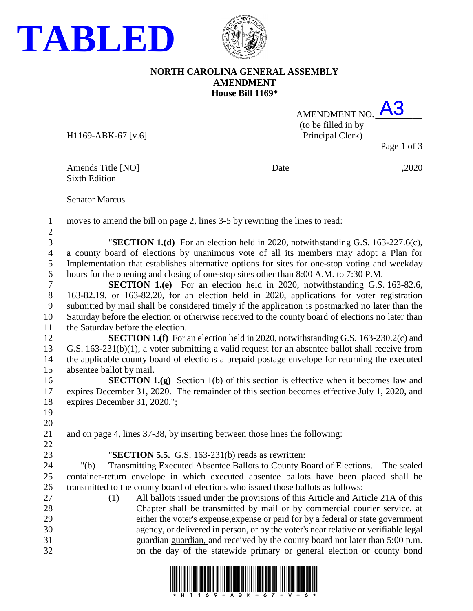



## **NORTH CAROLINA GENERAL ASSEMBLY AMENDMENT House Bill 1169\***

| AMENDMENT NO.       |      |
|---------------------|------|
| (to be filled in by |      |
| Principal Clerk)    |      |
|                     | רי ת |

 $H1169-ABK-67$  [v.6]

Page 1 of 3

Sixth Edition

Amends Title [NO] Date ,2020

## Senator Marcus

moves to amend the bill on page 2, lines 3-5 by rewriting the lines to read:

 "**SECTION 1.(d)** For an election held in 2020, notwithstanding G.S. 163-227.6(c), a county board of elections by unanimous vote of all its members may adopt a Plan for Implementation that establishes alternative options for sites for one-stop voting and weekday hours for the opening and closing of one-stop sites other than 8:00 A.M. to 7:30 P.M.

 **SECTION 1.(e)** For an election held in 2020, notwithstanding G.S. 163-82.6, 163-82.19, or 163-82.20, for an election held in 2020, applications for voter registration submitted by mail shall be considered timely if the application is postmarked no later than the Saturday before the election or otherwise received to the county board of elections no later than the Saturday before the election.

**SECTION 1.(f)** For an election held in 2020, notwithstanding G.S. 163-230.2(c) and G.S. 163-231(b)(1), a voter submitting a valid request for an absentee ballot shall receive from the applicable county board of elections a prepaid postage envelope for returning the executed absentee ballot by mail.

**SECTION 1.(g)** Section 1(b) of this section is effective when it becomes law and expires December 31, 2020. The remainder of this section becomes effective July 1, 2020, and expires December 31, 2020.";

and on page 4, lines 37-38, by inserting between those lines the following:

"**SECTION 5.5.** G.S. 163-231(b) reads as rewritten:

 "(b) Transmitting Executed Absentee Ballots to County Board of Elections. – The sealed container-return envelope in which executed absentee ballots have been placed shall be transmitted to the county board of elections who issued those ballots as follows:

 (1) All ballots issued under the provisions of this Article and Article 21A of this Chapter shall be transmitted by mail or by commercial courier service, at either the voter's expense,expense or paid for by a federal or state government agency, or delivered in person, or by the voter's near relative or verifiable legal guardian guardian, and received by the county board not later than 5:00 p.m. on the day of the statewide primary or general election or county bond

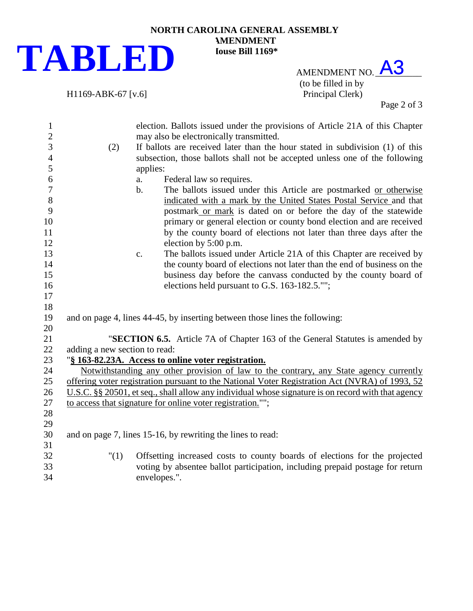

## **NORTH CAROLINA GENERAL ASSEMBLY AMENDMENT House Bill 1169\***

AMENDMENT NO. A3 (to be filled in by H1169-ABK-67 [v.6] Principal Clerk)

Page 2 of 3

| $\mathbf{1}$     | election. Ballots issued under the provisions of Article 21A of this Chapter                       |                                                                               |  |  |
|------------------|----------------------------------------------------------------------------------------------------|-------------------------------------------------------------------------------|--|--|
| $\sqrt{2}$       | may also be electronically transmitted.                                                            |                                                                               |  |  |
| 3                | (2)                                                                                                | If ballots are received later than the hour stated in subdivision (1) of this |  |  |
| $\overline{4}$   |                                                                                                    | subsection, those ballots shall not be accepted unless one of the following   |  |  |
| 5                |                                                                                                    | applies:                                                                      |  |  |
| 6                |                                                                                                    | Federal law so requires.<br>a.                                                |  |  |
| $\boldsymbol{7}$ |                                                                                                    | The ballots issued under this Article are postmarked or otherwise<br>b.       |  |  |
| 8                |                                                                                                    | indicated with a mark by the United States Postal Service and that            |  |  |
| 9                |                                                                                                    | postmark or mark is dated on or before the day of the statewide               |  |  |
| 10               |                                                                                                    | primary or general election or county bond election and are received          |  |  |
| 11               |                                                                                                    | by the county board of elections not later than three days after the          |  |  |
| 12               |                                                                                                    | election by 5:00 p.m.                                                         |  |  |
| 13               |                                                                                                    | The ballots issued under Article 21A of this Chapter are received by<br>c.    |  |  |
| 14               |                                                                                                    | the county board of elections not later than the end of business on the       |  |  |
| 15               |                                                                                                    | business day before the canvass conducted by the county board of              |  |  |
| 16               |                                                                                                    | elections held pursuant to G.S. 163-182.5."";                                 |  |  |
| 17               |                                                                                                    |                                                                               |  |  |
| 18               |                                                                                                    |                                                                               |  |  |
| 19               |                                                                                                    | and on page 4, lines 44-45, by inserting between those lines the following:   |  |  |
| 20               |                                                                                                    |                                                                               |  |  |
| 21               | "SECTION 6.5. Article 7A of Chapter 163 of the General Statutes is amended by                      |                                                                               |  |  |
| 22               | adding a new section to read:                                                                      |                                                                               |  |  |
| 23               | "§ 163-82.23A. Access to online voter registration.                                                |                                                                               |  |  |
| 24               | Notwithstanding any other provision of law to the contrary, any State agency currently             |                                                                               |  |  |
| 25               | offering voter registration pursuant to the National Voter Registration Act (NVRA) of 1993, 52     |                                                                               |  |  |
| 26               | U.S.C. §§ 20501, et seq., shall allow any individual whose signature is on record with that agency |                                                                               |  |  |
| 27               | to access that signature for online voter registration."";                                         |                                                                               |  |  |
| 28               |                                                                                                    |                                                                               |  |  |
| 29               |                                                                                                    |                                                                               |  |  |
| 30               | and on page 7, lines 15-16, by rewriting the lines to read:                                        |                                                                               |  |  |
| 31               |                                                                                                    |                                                                               |  |  |
| 32               | "(1)                                                                                               | Offsetting increased costs to county boards of elections for the projected    |  |  |
| 33               |                                                                                                    | voting by absentee ballot participation, including prepaid postage for return |  |  |
| 34               |                                                                                                    | envelopes.".                                                                  |  |  |